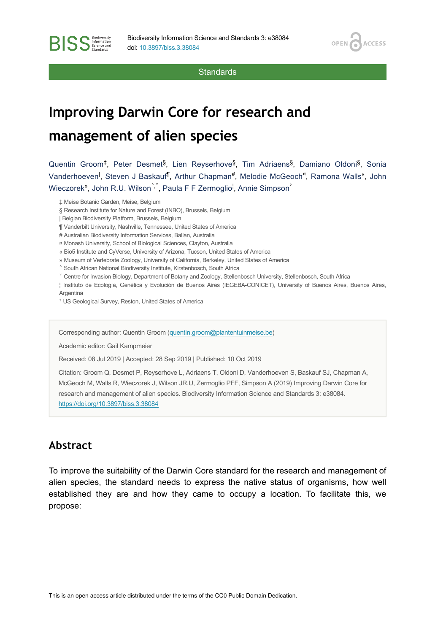**BISS** Stence and

**Standards** 

OPEN<sub>6</sub>

**ACCESS** 

# **Improving Darwin Core for research and management of alien species**

Quentin Groom<sup>‡</sup>, Peter Desmet<sup>§</sup>, Lien Reyserhove<sup>§</sup>, Tim Adriaens<sup>§</sup>, Damiano Oldoni<sup>§</sup>, Sonia Vanderhoeven<sup>|</sup>, Steven J Baskauf<sup>fi</sup>, Arthur Chapman<sup>#</sup>, Melodie McGeoch<sup>¤</sup>, Ramona Walls<sup>«</sup>, John Wieczorek", John R.U. Wilson , Paula F F Zermoglio , Annie Simpson

- ‡ Meise Botanic Garden, Meise, Belgium
- § Research Institute for Nature and Forest (INBO), Brussels, Belgium
- | Belgian Biodiversity Platform, Brussels, Belgium
- ¶ Vanderbilt University, Nashville, Tennessee, United States of America
- # Australian Biodiversity Information Services, Ballan, Australia
- ¤ Monash University, School of Biological Sciences, Clayton, Australia
- « Bio5 Institute and CyVerse, University of Arizona, Tucson, United States of America
- » Museum of Vertebrate Zoology, University of California, Berkeley, United States of America
- ˄ South African National Biodiversity Institute, Kirstenbosch, South Africa
- ˅ Centre for Invasion Biology, Department of Botany and Zoology, Stellenbosch University, Stellenbosch, South Africa
- ¦ Instituto de Ecología, Genética y Evolución de Buenos Aires (IEGEBA-CONICET), University of Buenos Aires, Buenos Aires,

Argentina

ˀ US Geological Survey, Reston, United States of America

Corresponding author: Quentin Groom [\(quentin.groom@plantentuinmeise.be\)](mailto:quentin.groom@plantentuinmeise.be)

Academic editor: Gail Kampmeier

Received: 08 Jul 2019 | Accepted: 28 Sep 2019 | Published: 10 Oct 2019

Citation: Groom Q, Desmet P, Reyserhove L, Adriaens T, Oldoni D, Vanderhoeven S, Baskauf SJ, Chapman A, McGeoch M, Walls R, Wieczorek J, Wilson JR.U, Zermoglio PFF, Simpson A (2019) Improving Darwin Core for research and management of alien species. Biodiversity Information Science and Standards 3: e38084. <https://doi.org/10.3897/biss.3.38084>

# **Abstract**

To improve the suitability of the Darwin Core standard for the research and management of alien species, the standard needs to express the native status of organisms, how well established they are and how they came to occupy a location. To facilitate this, we propose: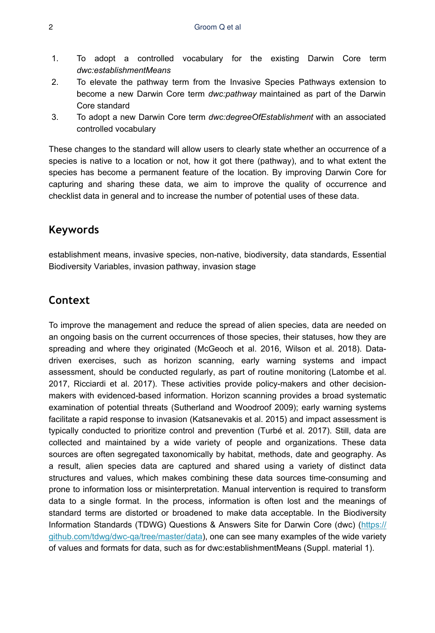- 1. To adopt a controlled vocabulary for the existing Darwin Core term *dwc:establishmentMeans*
- 2. To elevate the pathway term from the Invasive Species Pathways extension to become a new Darwin Core term *dwc:pathway* maintained as part of the Darwin Core standard
- 3. To adopt a new Darwin Core term *dwc:degreeOfEstablishment* with an associated controlled vocabulary

These changes to the standard will allow users to clearly state whether an occurrence of a species is native to a location or not, how it got there (pathway), and to what extent the species has become a permanent feature of the location. By improving Darwin Core for capturing and sharing these data, we aim to improve the quality of occurrence and checklist data in general and to increase the number of potential uses of these data.

# **Keywords**

establishment means, invasive species, non-native, biodiversity, data standards, Essential Biodiversity Variables, invasion pathway, invasion stage

# **Context**

To improve the management and reduce the spread of alien species, data are needed on an ongoing basis on the current occurrences of those species, their statuses, how they are spreading and where they originated (McGeoch et al. 2016, Wilson et al. 2018). Datadriven exercises, such as horizon scanning, early warning systems and impact assessment, should be conducted regularly, as part of routine monitoring (Latombe et al. 2017, Ricciardi et al. 2017). These activities provide policy-makers and other decisionmakers with evidenced-based information. Horizon scanning provides a broad systematic examination of potential threats (Sutherland and Woodroof 2009); early warning systems facilitate a rapid response to invasion (Katsanevakis et al. 2015) and impact assessment is typically conducted to prioritize control and prevention (Turbé et al. 2017). Still, data are collected and maintained by a wide variety of people and organizations. These data sources are often segregated taxonomically by habitat, methods, date and geography. As a result, alien species data are captured and shared using a variety of distinct data structures and values, which makes combining these data sources time-consuming and prone to information loss or misinterpretation. Manual intervention is required to transform data to a single format. In the process, information is often lost and the meanings of standard terms are distorted or broadened to make data acceptable. In the Biodiversity Information Standards (TDWG) Questions & Answers Site for Darwin Core (dwc) [\(https://](https://github.com/tdwg/dwc-qa/tree/master/data) [github.com/tdwg/dwc-qa/tree/master/data\)](https://github.com/tdwg/dwc-qa/tree/master/data), one can see many examples of the wide variety of values and formats for data, such as for dwc:establishmentMeans (Suppl. material 1).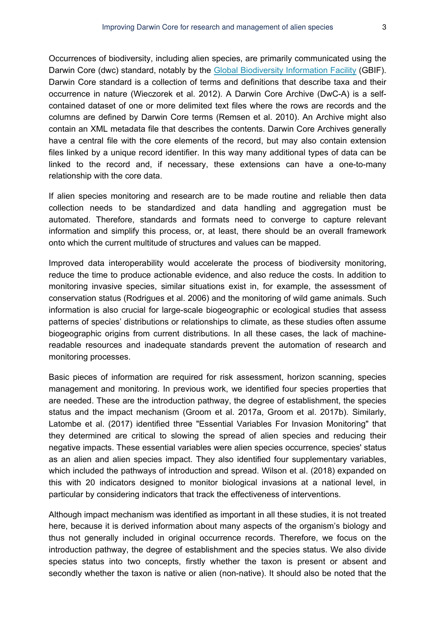Occurrences of biodiversity, including alien species, are primarily communicated using the Darwin Core (dwc) standard, notably by the [Global Biodiversity Information Facility](http://www.gbif.org/) (GBIF). Darwin Core standard is a collection of terms and definitions that describe taxa and their occurrence in nature (Wieczorek et al. 2012). A Darwin Core Archive (DwC-A) is a selfcontained dataset of one or more delimited text files where the rows are records and the columns are defined by Darwin Core terms (Remsen et al. 2010). An Archive might also contain an XML metadata file that describes the contents. Darwin Core Archives generally have a central file with the core elements of the record, but may also contain extension files linked by a unique record identifier. In this way many additional types of data can be linked to the record and, if necessary, these extensions can have a one-to-many relationship with the core data.

If alien species monitoring and research are to be made routine and reliable then data collection needs to be standardized and data handling and aggregation must be automated. Therefore, standards and formats need to converge to capture relevant information and simplify this process, or, at least, there should be an overall framework onto which the current multitude of structures and values can be mapped.

Improved data interoperability would accelerate the process of biodiversity monitoring, reduce the time to produce actionable evidence, and also reduce the costs. In addition to monitoring invasive species, similar situations exist in, for example, the assessment of conservation status (Rodrigues et al. 2006) and the monitoring of wild game animals. Such information is also crucial for large-scale biogeographic or ecological studies that assess patterns of species' distributions or relationships to climate, as these studies often assume biogeographic origins from current distributions. In all these cases, the lack of machinereadable resources and inadequate standards prevent the automation of research and monitoring processes.

Basic pieces of information are required for risk assessment, horizon scanning, species management and monitoring. In previous work, we identified four species properties that are needed. These are the introduction pathway, the degree of establishment, the species status and the impact mechanism (Groom et al. 2017a, Groom et al. 2017b). Similarly, Latombe et al. (2017) identified three "Essential Variables For Invasion Monitoring" that they determined are critical to slowing the spread of alien species and reducing their negative impacts. These essential variables were alien species occurrence, species' status as an alien and alien species impact. They also identified four supplementary variables, which included the pathways of introduction and spread. Wilson et al. (2018) expanded on this with 20 indicators designed to monitor biological invasions at a national level, in particular by considering indicators that track the effectiveness of interventions.

Although impact mechanism was identified as important in all these studies, it is not treated here, because it is derived information about many aspects of the organism's biology and thus not generally included in original occurrence records. Therefore, we focus on the introduction pathway, the degree of establishment and the species status. We also divide species status into two concepts, firstly whether the taxon is present or absent and secondly whether the taxon is native or alien (non-native). It should also be noted that the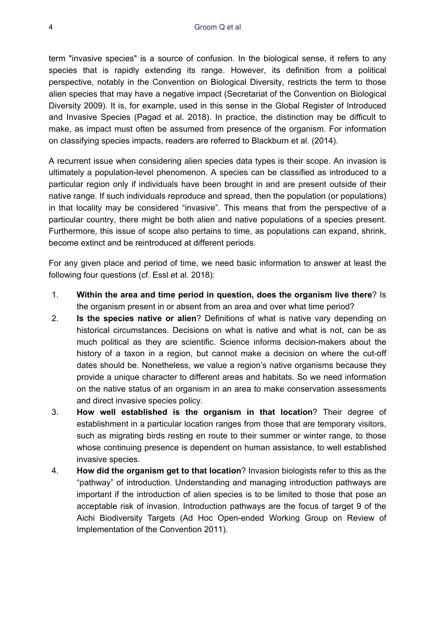term "invasive species" is a source of confusion. In the biological sense, it refers to any species that is rapidly extending its range. However, its definition from a political perspective, notably in the Convention on Biological Diversity, restricts the term to those alien species that may have a negative impact (Secretariat of the Convention on Biological Diversity 2009). It is, for example, used in this sense in the Global Register of Introduced and Invasive Species (Pagad et al. 2018). In practice, the distinction may be difficult to make, as impact must often be assumed from presence of the organism. For information on classifying species impacts, readers are referred to Blackburn et al. (2014).

A recurrent issue when considering alien species data types is their scope. An invasion is ultimately a population-level phenomenon. A species can be classified as introduced to a particular region only if individuals have been brought in and are present outside of their native range. If such individuals reproduce and spread, then the population (or populations) in that locality may be considered "invasive". This means that from the perspective of a particular country, there might be both alien and native populations of a species present. Furthermore, this issue of scope also pertains to time, as populations can expand, shrink, become extinct and be reintroduced at different periods.

For any given place and period of time, we need basic information to answer at least the following four questions (cf. Essl et al. 2018):

- 1. **Within the area and time period in question, does the organism live there**? Is the organism present in or absent from an area and over what time period?
- 2. **Is the species native or alien**? Definitions of what is native vary depending on historical circumstances. Decisions on what is native and what is not, can be as much political as they are scientific. Science informs decision-makers about the history of a taxon in a region, but cannot make a decision on where the cut-off dates should be. Nonetheless, we value a region's native organisms because they provide a unique character to different areas and habitats. So we need information on the native status of an organism in an area to make conservation assessments and direct invasive species policy.
- 3. **How well established is the organism in that location**? Their degree of establishment in a particular location ranges from those that are temporary visitors, such as migrating birds resting en route to their summer or winter range, to those whose continuing presence is dependent on human assistance, to well established invasive species.
- 4. **How did the organism get to that location**? Invasion biologists refer to this as the "pathway" of introduction. Understanding and managing introduction pathways are important if the introduction of alien species is to be limited to those that pose an acceptable risk of invasion. Introduction pathways are the focus of target 9 of the Aichi Biodiversity Targets (Ad Hoc Open-ended Working Group on Review of Implementation of the Convention 2011).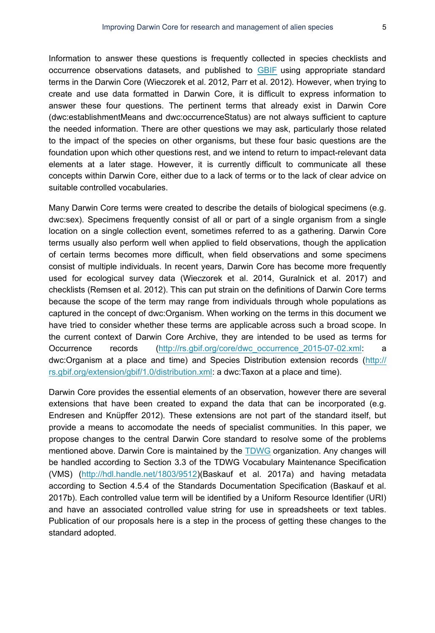Information to answer these questions is frequently collected in species checklists and occurrence observations datasets, and published to [GBIF](https://www.gbif.org/) using appropriate standard terms in the Darwin Core (Wieczorek et al. 2012, Parr et al. 2012). However, when trying to create and use data formatted in Darwin Core, it is difficult to express information to answer these four questions. The pertinent terms that already exist in Darwin Core (dwc:establishmentMeans and dwc:occurrenceStatus) are not always sufficient to capture the needed information. There are other questions we may ask, particularly those related to the impact of the species on other organisms, but these four basic questions are the foundation upon which other questions rest, and we intend to return to impact-relevant data elements at a later stage. However, it is currently difficult to communicate all these concepts within Darwin Core, either due to a lack of terms or to the lack of clear advice on suitable controlled vocabularies.

Many Darwin Core terms were created to describe the details of biological specimens (e.g. dwc:sex). Specimens frequently consist of all or part of a single organism from a single location on a single collection event, sometimes referred to as a gathering. Darwin Core terms usually also perform well when applied to field observations, though the application of certain terms becomes more difficult, when field observations and some specimens consist of multiple individuals. In recent years, Darwin Core has become more frequently used for ecological survey data (Wieczorek et al. 2014, Guralnick et al. 2017) and checklists (Remsen et al. 2012). This can put strain on the definitions of Darwin Core terms because the scope of the term may range from individuals through whole populations as captured in the concept of dwc:Organism. When working on the terms in this document we have tried to consider whether these terms are applicable across such a broad scope. In the current context of Darwin Core Archive, they are intended to be used as terms for Occurrence records [\(http://rs.gbif.org/core/dwc\\_occurrence\\_2015-07-02.xml:](http://rs.gbif.org/core/dwc_occurrence_2015-07-02.xml) a dwc:Organism at a place and time) and Species Distribution extension records ([http://](http://rs.gbif.org/extension/gbif/1.0/distribution.xml) [rs.gbif.org/extension/gbif/1.0/distribution.xml](http://rs.gbif.org/extension/gbif/1.0/distribution.xml): a dwc:Taxon at a place and time).

Darwin Core provides the essential elements of an observation, however there are several extensions that have been created to expand the data that can be incorporated (e.g. Endresen and Knüpffer 2012). These extensions are not part of the standard itself, but provide a means to accomodate the needs of specialist communities. In this paper, we propose changes to the central Darwin Core standard to resolve some of the problems mentioned above. Darwin Core is maintained by the [TDWG](https://www.tdwg.org/) organization. Any changes will be handled according to Section 3.3 of the TDWG Vocabulary Maintenance Specification (VMS) ([http://hdl.handle.net/1803/9512\)](http://hdl.handle.net/1803/9512)(Baskauf et al. 2017a) and having metadata according to Section 4.5.4 of the Standards Documentation Specification (Baskauf et al. 2017b). Each controlled value term will be identified by a Uniform Resource Identifier (URI) and have an associated controlled value string for use in spreadsheets or text tables. Publication of our proposals here is a step in the process of getting these changes to the standard adopted.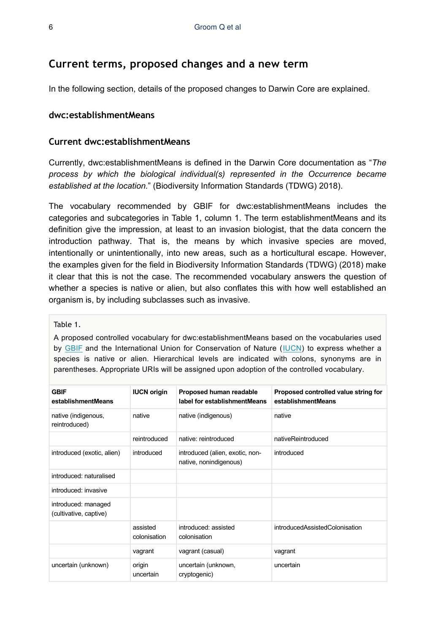# **Current terms, proposed changes and a new term**

In the following section, details of the proposed changes to Darwin Core are explained.

### **dwc:establishmentMeans**

#### **Current dwc:establishmentMeans**

Currently, dwc:establishmentMeans is defined in the Darwin Core documentation as "*The process by which the biological individual(s) represented in the Occurrence became established at the location.*" (Biodiversity Information Standards (TDWG) 2018).

The vocabulary recommended by GBIF for dwc:establishmentMeans includes the categories and subcategories in Table 1, column 1. The term establishmentMeans and its definition give the impression, at least to an invasion biologist, that the data concern the introduction pathway. That is, the means by which invasive species are moved, intentionally or unintentionally, into new areas, such as a horticultural escape. However, the examples given for the field in Biodiversity Information Standards (TDWG) (2018) make it clear that this is not the case. The recommended vocabulary answers the question of whether a species is native or alien, but also conflates this with how well established an organism is, by including subclasses such as invasive.

#### Table 1.

A proposed controlled vocabulary for dwc:establishmentMeans based on the vocabularies used by [GBIF](https://www.gbif.org/) and the International Union for Conservation of Nature ([IUCN](https://www.iucn.org/)) to express whether a species is native or alien. Hierarchical levels are indicated with colons, synonyms are in parentheses. Appropriate URIs will be assigned upon adoption of the controlled vocabulary.

| <b>GBIF</b><br>establishmentMeans             | <b>IUCN origin</b>       | Proposed human readable<br>label for establishmentMeans   | Proposed controlled value string for<br>establishmentMeans |
|-----------------------------------------------|--------------------------|-----------------------------------------------------------|------------------------------------------------------------|
| native (indigenous,<br>reintroduced)          | native                   | native (indigenous)                                       | native                                                     |
|                                               | reintroduced             | native: reintroduced                                      | nativeReintroduced                                         |
| introduced (exotic, alien)                    | introduced               | introduced (alien, exotic, non-<br>native, nonindigenous) | introduced                                                 |
| introduced: naturalised                       |                          |                                                           |                                                            |
| introduced: invasive                          |                          |                                                           |                                                            |
| introduced: managed<br>(cultivative, captive) |                          |                                                           |                                                            |
|                                               | assisted<br>colonisation | introduced: assisted<br>colonisation                      | introducedAssistedColonisation                             |
|                                               | vagrant                  | vagrant (casual)                                          | vagrant                                                    |
| uncertain (unknown)                           | origin<br>uncertain      | uncertain (unknown,<br>cryptogenic)                       | uncertain                                                  |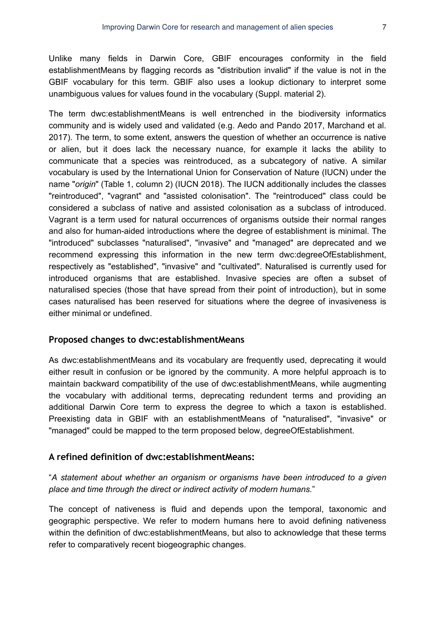Unlike many fields in Darwin Core, GBIF encourages conformity in the field establishmentMeans by flagging records as "distribution invalid" if the value is not in the GBIF vocabulary for this term. GBIF also uses a lookup dictionary to interpret some unambiguous values for values found in the vocabulary (Suppl. material 2).

The term dwc:establishmentMeans is well entrenched in the biodiversity informatics community and is widely used and validated (e.g. Aedo and Pando 2017, Marchand et al. 2017). The term, to some extent, answers the question of whether an occurrence is native or alien, but it does lack the necessary nuance, for example it lacks the ability to communicate that a species was reintroduced, as a subcategory of native. A similar vocabulary is used by the International Union for Conservation of Nature (IUCN) under the name "*origin*" (Table 1, column 2) (IUCN 2018). The IUCN additionally includes the classes "reintroduced", "vagrant" and "assisted colonisation". The "reintroduced" class could be considered a subclass of native and assisted colonisation as a subclass of introduced. Vagrant is a term used for natural occurrences of organisms outside their normal ranges and also for human-aided introductions where the degree of establishment is minimal. The "introduced" subclasses "naturalised", "invasive" and "managed" are deprecated and we recommend expressing this information in the new term dwc:degreeOfEstablishment, respectively as "established", "invasive" and "cultivated". Naturalised is currently used for introduced organisms that are established. Invasive species are often a subset of naturalised species (those that have spread from their point of introduction), but in some cases naturalised has been reserved for situations where the degree of invasiveness is either minimal or undefined.

### **Proposed changes to dwc:establishmentMeans**

As dwc:establishmentMeans and its vocabulary are frequently used, deprecating it would either result in confusion or be ignored by the community. A more helpful approach is to maintain backward compatibility of the use of dwc:establishmentMeans, while augmenting the vocabulary with additional terms, deprecating redundent terms and providing an additional Darwin Core term to express the degree to which a taxon is established. Preexisting data in GBIF with an establishmentMeans of "naturalised", "invasive" or "managed" could be mapped to the term proposed below, degreeOfEstablishment.

## **A refined definition of dwc:establishmentMeans:**

"*A statement about whether an organism or organisms have been introduced to a given place and time through the direct or indirect activity of modern humans.*"

The concept of nativeness is fluid and depends upon the temporal, taxonomic and geographic perspective. We refer to modern humans here to avoid defining nativeness within the definition of dwc:establishmentMeans, but also to acknowledge that these terms refer to comparatively recent biogeographic changes.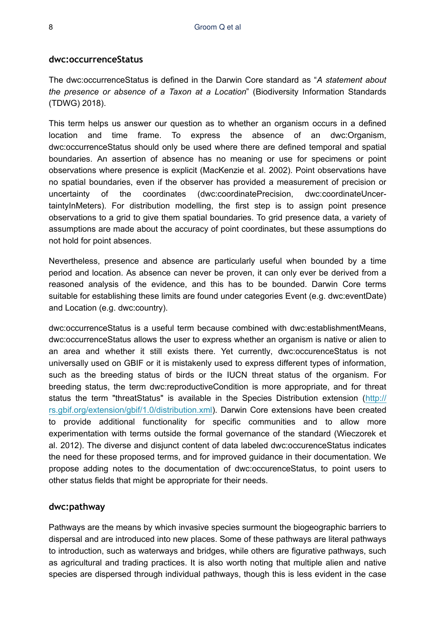#### **dwc:occurrenceStatus**

The dwc:occurrenceStatus is defined in the Darwin Core standard as "*A statement about the presence or absence of a Taxon at a Location*" (Biodiversity Information Standards (TDWG) 2018).

This term helps us answer our question as to whether an organism occurs in a defined location and time frame. To express the absence of an dwc:Organism, dwc:occurrenceStatus should only be used where there are defined temporal and spatial boundaries. An assertion of absence has no meaning or use for specimens or point observations where presence is explicit (MacKenzie et al. 2002). Point observations have no spatial boundaries, even if the observer has provided a measurement of precision or uncertainty of the coordinates (dwc:coordinatePrecision, dwc:coordinateUncertaintyInMeters). For distribution modelling, the first step is to assign point presence observations to a grid to give them spatial boundaries. To grid presence data, a variety of assumptions are made about the accuracy of point coordinates, but these assumptions do not hold for point absences.

Nevertheless, presence and absence are particularly useful when bounded by a time period and location. As absence can never be proven, it can only ever be derived from a reasoned analysis of the evidence, and this has to be bounded. Darwin Core terms suitable for establishing these limits are found under categories Event (e.g. dwc:eventDate) and Location (e.g. dwc:country).

dwc:occurrenceStatus is a useful term because combined with dwc:establishmentMeans, dwc:occurrenceStatus allows the user to express whether an organism is native or alien to an area and whether it still exists there. Yet currently, dwc:occurenceStatus is not universally used on GBIF or it is mistakenly used to express different types of information, such as the breeding status of birds or the IUCN threat status of the organism. For breeding status, the term dwc:reproductiveCondition is more appropriate, and for threat status the term "threatStatus" is available in the Species Distribution extension ([http://](http://rs.gbif.org/extension/gbif/1.0/distribution.xml) [rs.gbif.org/extension/gbif/1.0/distribution.xml](http://rs.gbif.org/extension/gbif/1.0/distribution.xml)). Darwin Core extensions have been created to provide additional functionality for specific communities and to allow more experimentation with terms outside the formal governance of the standard (Wieczorek et al. 2012). The diverse and disjunct content of data labeled dwc:occurenceStatus indicates the need for these proposed terms, and for improved guidance in their documentation. We propose adding notes to the documentation of dwc:occurenceStatus, to point users to other status fields that might be appropriate for their needs.

#### **dwc:pathway**

Pathways are the means by which invasive species surmount the biogeographic barriers to dispersal and are introduced into new places. Some of these pathways are literal pathways to introduction, such as waterways and bridges, while others are figurative pathways, such as agricultural and trading practices. It is also worth noting that multiple alien and native species are dispersed through individual pathways, though this is less evident in the case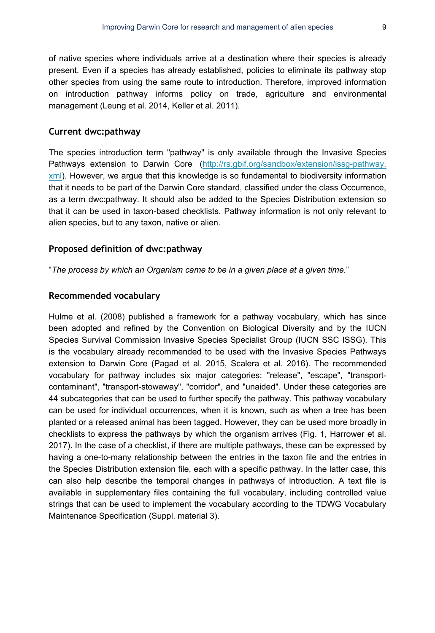of native species where individuals arrive at a destination where their species is already present. Even if a species has already established, policies to eliminate its pathway stop other species from using the same route to introduction. Therefore, improved information on introduction pathway informs policy on trade, agriculture and environmental management (Leung et al. 2014, Keller et al. 2011).

#### **Current dwc:pathway**

The species introduction term "pathway" is only available through the Invasive Species Pathways extension to Darwin Core ([http://rs.gbif.org/sandbox/extension/issg-pathway.](http://rs.gbif.org/sandbox/extension/issg-pathway.xml) [xml](http://rs.gbif.org/sandbox/extension/issg-pathway.xml)). However, we argue that this knowledge is so fundamental to biodiversity information that it needs to be part of the Darwin Core standard, classified under the class Occurrence, as a term dwc:pathway. It should also be added to the Species Distribution extension so that it can be used in taxon-based checklists. Pathway information is not only relevant to alien species, but to any taxon, native or alien.

#### **Proposed definition of dwc:pathway**

"*The process by which an Organism came to be in a given place at a given time.*"

### **Recommended vocabulary**

Hulme et al. (2008) published a framework for a pathway vocabulary, which has since been adopted and refined by the Convention on Biological Diversity and by the IUCN Species Survival Commission Invasive Species Specialist Group (IUCN SSC ISSG). This is the vocabulary already recommended to be used with the Invasive Species Pathways extension to Darwin Core (Pagad et al. 2015, Scalera et al. 2016). The recommended vocabulary for pathway includes six major categories: "release", "escape", "transportcontaminant", "transport-stowaway", "corridor", and "unaided". Under these categories are 44 subcategories that can be used to further specify the pathway. This pathway vocabulary can be used for individual occurrences, when it is known, such as when a tree has been planted or a released animal has been tagged. However, they can be used more broadly in checklists to express the pathways by which the organism arrives (Fig. 1, Harrower et al. 2017). In the case of a checklist, if there are multiple pathways, these can be expressed by having a one-to-many relationship between the entries in the taxon file and the entries in the Species Distribution extension file, each with a specific pathway. In the latter case, this can also help describe the temporal changes in pathways of introduction. A text file is available in supplementary files containing the full vocabulary, including controlled value strings that can be used to implement the vocabulary according to the TDWG Vocabulary Maintenance Specification (Suppl. material 3).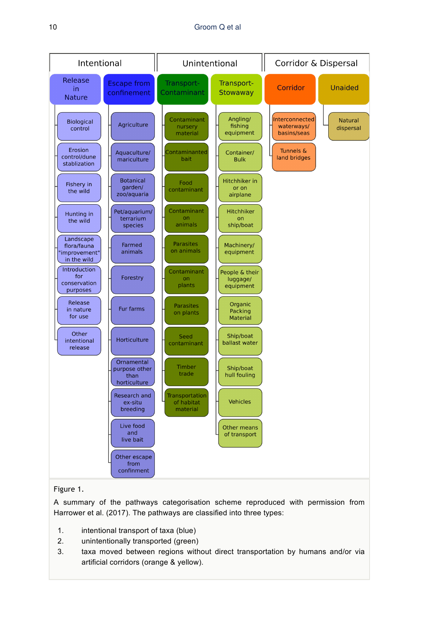

### Figure 1.

A summary of the pathways categorisation scheme reproduced with permission from Harrower et al. (2017). The pathways are classified into three types:

- 1. intentional transport of taxa (blue)
- 2. unintentionally transported (green)
- 3. taxa moved between regions without direct transportation by humans and/or via artificial corridors (orange & yellow).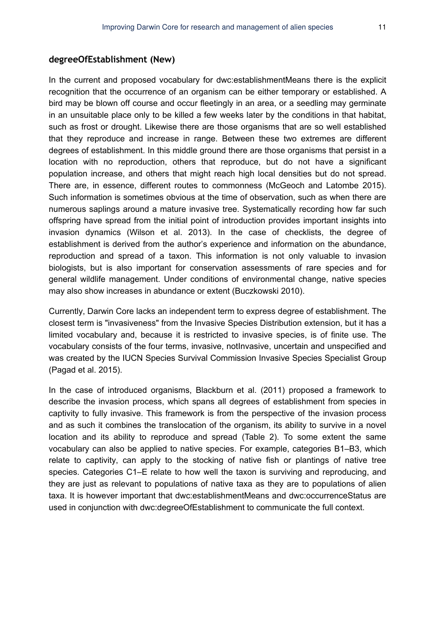#### **degreeOfEstablishment (New)**

In the current and proposed vocabulary for dwc:establishmentMeans there is the explicit recognition that the occurrence of an organism can be either temporary or established. A bird may be blown off course and occur fleetingly in an area, or a seedling may germinate in an unsuitable place only to be killed a few weeks later by the conditions in that habitat, such as frost or drought. Likewise there are those organisms that are so well established that they reproduce and increase in range. Between these two extremes are different degrees of establishment. In this middle ground there are those organisms that persist in a location with no reproduction, others that reproduce, but do not have a significant population increase, and others that might reach high local densities but do not spread. There are, in essence, different routes to commonness (McGeoch and Latombe 2015). Such information is sometimes obvious at the time of observation, such as when there are numerous saplings around a mature invasive tree. Systematically recording how far such offspring have spread from the initial point of introduction provides important insights into invasion dynamics (Wilson et al. 2013). In the case of checklists, the degree of establishment is derived from the author's experience and information on the abundance, reproduction and spread of a taxon. This information is not only valuable to invasion biologists, but is also important for conservation assessments of rare species and for general wildlife management. Under conditions of environmental change, native species may also show increases in abundance or extent (Buczkowski 2010).

Currently, Darwin Core lacks an independent term to express degree of establishment. The closest term is "invasiveness" from the Invasive Species Distribution extension, but it has a limited vocabulary and, because it is restricted to invasive species, is of finite use. The vocabulary consists of the four terms, invasive, notInvasive, uncertain and unspecified and was created by the IUCN Species Survival Commission Invasive Species Specialist Group (Pagad et al. 2015).

In the case of introduced organisms, Blackburn et al. (2011) proposed a framework to describe the invasion process, which spans all degrees of establishment from species in captivity to fully invasive. This framework is from the perspective of the invasion process and as such it combines the translocation of the organism, its ability to survive in a novel location and its ability to reproduce and spread (Table 2). To some extent the same vocabulary can also be applied to native species. For example, categories B1–B3, which relate to captivity, can apply to the stocking of native fish or plantings of native tree species. Categories C1–E relate to how well the taxon is surviving and reproducing, and they are just as relevant to populations of native taxa as they are to populations of alien taxa. It is however important that dwc:establishmentMeans and dwc:occurrenceStatus are used in conjunction with dwc:degreeOfEstablishment to communicate the full context.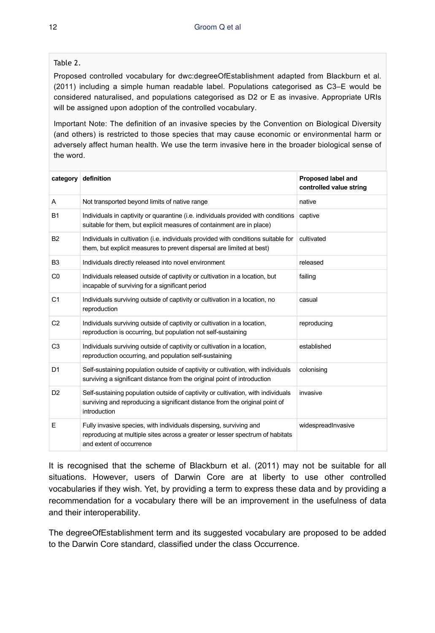## Table 2.

Proposed controlled vocabulary for dwc:degreeOfEstablishment adapted from Blackburn et al. (2011) including a simple human readable label. Populations categorised as C3–E would be considered naturalised, and populations categorised as D2 or E as invasive. Appropriate URIs will be assigned upon adoption of the controlled vocabulary.

Important Note: The definition of an invasive species by the Convention on Biological Diversity (and others) is restricted to those species that may cause economic or environmental harm or adversely affect human health. We use the term invasive here in the broader biological sense of the word.

| category       | definition                                                                                                                                                                      | Proposed label and<br>controlled value string |
|----------------|---------------------------------------------------------------------------------------------------------------------------------------------------------------------------------|-----------------------------------------------|
| A              | Not transported beyond limits of native range                                                                                                                                   | native                                        |
| <b>B1</b>      | Individuals in captivity or quarantine (i.e. individuals provided with conditions<br>suitable for them, but explicit measures of containment are in place)                      | captive                                       |
| <b>B2</b>      | Individuals in cultivation (i.e. individuals provided with conditions suitable for<br>them, but explicit measures to prevent dispersal are limited at best)                     | cultivated                                    |
| B <sub>3</sub> | Individuals directly released into novel environment                                                                                                                            | released                                      |
| C <sub>0</sub> | Individuals released outside of captivity or cultivation in a location, but<br>incapable of surviving for a significant period                                                  | failing                                       |
| C <sub>1</sub> | Individuals surviving outside of captivity or cultivation in a location, no<br>reproduction                                                                                     | casual                                        |
| C <sub>2</sub> | Individuals surviving outside of captivity or cultivation in a location,<br>reproduction is occurring, but population not self-sustaining                                       | reproducing                                   |
| C <sub>3</sub> | Individuals surviving outside of captivity or cultivation in a location,<br>reproduction occurring, and population self-sustaining                                              | established                                   |
| D <sub>1</sub> | Self-sustaining population outside of captivity or cultivation, with individuals<br>surviving a significant distance from the original point of introduction                    | colonising                                    |
| D <sub>2</sub> | Self-sustaining population outside of captivity or cultivation, with individuals<br>surviving and reproducing a significant distance from the original point of<br>introduction | invasive                                      |
| E              | Fully invasive species, with individuals dispersing, surviving and<br>reproducing at multiple sites across a greater or lesser spectrum of habitats<br>and extent of occurrence | widespreadInvasive                            |

It is recognised that the scheme of Blackburn et al. (2011) may not be suitable for all situations. However, users of Darwin Core are at liberty to use other controlled vocabularies if they wish. Yet, by providing a term to express these data and by providing a recommendation for a vocabulary there will be an improvement in the usefulness of data and their interoperability.

The degreeOfEstablishment term and its suggested vocabulary are proposed to be added to the Darwin Core standard, classified under the class Occurrence.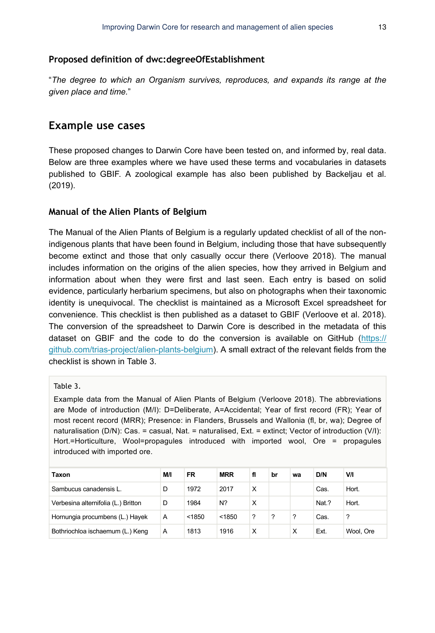#### **Proposed definition of dwc:degreeOfEstablishment**

"*The degree to which an Organism survives, reproduces, and expands its range at the given place and time.*"

# **Example use cases**

These proposed changes to Darwin Core have been tested on, and informed by, real data. Below are three examples where we have used these terms and vocabularies in datasets published to GBIF. A zoological example has also been published by Backeljau et al. (2019).

#### **Manual of the Alien Plants of Belgium**

The Manual of the Alien Plants of Belgium is a regularly updated checklist of all of the nonindigenous plants that have been found in Belgium, including those that have subsequently become extinct and those that only casually occur there (Verloove 2018). The manual includes information on the origins of the alien species, how they arrived in Belgium and information about when they were first and last seen. Each entry is based on solid evidence, particularly herbarium specimens, but also on photographs when their taxonomic identity is unequivocal. The checklist is maintained as a Microsoft Excel spreadsheet for convenience. This checklist is then published as a dataset to GBIF (Verloove et al. 2018). The conversion of the spreadsheet to Darwin Core is described in the metadata of this dataset on GBIF and the code to do the conversion is available on GitHub [\(https://](https://github.com/trias-project/alien-plants-belgium) [github.com/trias-project/alien-plants-belgium](https://github.com/trias-project/alien-plants-belgium)). A small extract of the relevant fields from the checklist is shown in Table 3.

### Table 3.

Example data from the Manual of Alien Plants of Belgium (Verloove 2018). The abbreviations are Mode of introduction (M/I): D=Deliberate, A=Accidental; Year of first record (FR); Year of most recent record (MRR); Presence: in Flanders, Brussels and Wallonia (fl, br, wa); Degree of naturalisation (D/N): Cas. = casual, Nat. = naturalised, Ext. = extinct; Vector of introduction (V/I): Hort.=Horticulture, Wool=propagules introduced with imported wool, Ore = propagules introduced with imported ore.

| Taxon                               | M/I | <b>FR</b> | <b>MRR</b> | fl | br | wa | D/N   | V/I       |
|-------------------------------------|-----|-----------|------------|----|----|----|-------|-----------|
| Sambucus canadensis L.              | D   | 1972      | 2017       | X  |    |    | Cas.  | Hort.     |
| Verbesina alternifolia (L.) Britton | D   | 1984      | N?         | X  |    |    | Nat.? | Hort.     |
| Hornungia procumbens (L.) Hayek     | A   | < 1850    | < 1850     | ?  | ?  | ?  | Cas.  | ?         |
| Bothriochloa ischaemum (L.) Keng    | A   | 1813      | 1916       | x  |    | X  | Ext.  | Wool, Ore |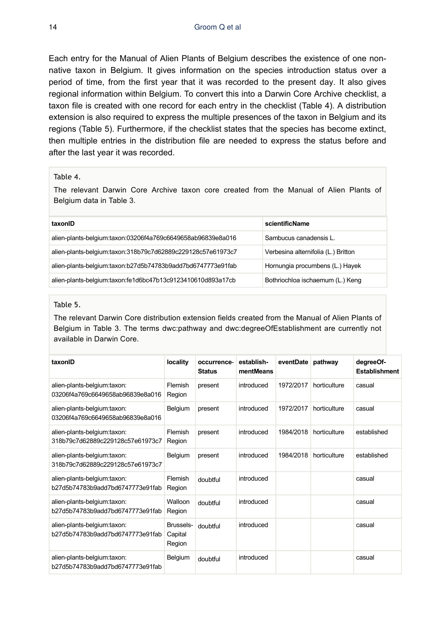Each entry for the Manual of Alien Plants of Belgium describes the existence of one nonnative taxon in Belgium. It gives information on the species introduction status over a period of time, from the first year that it was recorded to the present day. It also gives regional information within Belgium. To convert this into a Darwin Core Archive checklist, a taxon file is created with one record for each entry in the checklist (Table 4). A distribution extension is also required to express the multiple presences of the taxon in Belgium and its regions (Table 5). Furthermore, if the checklist states that the species has become extinct, then multiple entries in the distribution file are needed to express the status before and after the last year it was recorded.

#### Table 4.

The relevant Darwin Core Archive taxon core created from the Manual of Alien Plants of Belgium data in Table 3.

| taxonID                                                     | scientificName                      |
|-------------------------------------------------------------|-------------------------------------|
| alien-plants-belgium:taxon:03206f4a769c6649658ab96839e8a016 | Sambucus canadensis L.              |
| alien-plants-belgium:taxon:318b79c7d62889c229128c57e61973c7 | Verbesina alternifolia (L.) Britton |
| alien-plants-belgium:taxon:b27d5b74783b9add7bd6747773e91fab | Hornungia procumbens (L.) Hayek     |
| alien-plants-belgium:taxon:fe1d6bc47b13c9123410610d893a17cb | Bothriochloa ischaemum (L.) Keng    |

#### Table 5.

The relevant Darwin Core distribution extension fields created from the Manual of Alien Plants of Belgium in Table 3. The terms dwc:pathway and dwc:degreeOfEstablishment are currently not available in Darwin Core.

| taxonID                                                         | locality                       | occurrence-<br><b>Status</b> | establish-<br>mentMeans | eventDate | pathway      | degreeOf-<br><b>Establishment</b> |
|-----------------------------------------------------------------|--------------------------------|------------------------------|-------------------------|-----------|--------------|-----------------------------------|
| alien-plants-belgium:taxon:<br>03206f4a769c6649658ab96839e8a016 | Flemish<br>Region              | present                      | introduced              | 1972/2017 | horticulture | casual                            |
| alien-plants-belgium:taxon:<br>03206f4a769c6649658ab96839e8a016 | Belgium                        | present                      | introduced              | 1972/2017 | horticulture | casual                            |
| alien-plants-belgium:taxon:<br>318b79c7d62889c229128c57e61973c7 | Flemish<br>Region              | present                      | introduced              | 1984/2018 | horticulture | established                       |
| alien-plants-belgium:taxon:<br>318b79c7d62889c229128c57e61973c7 | Belgium                        | present                      | introduced              | 1984/2018 | horticulture | established                       |
| alien-plants-belgium:taxon:<br>b27d5b74783b9add7bd6747773e91fab | Flemish<br>Region              | doubtful                     | introduced              |           |              | casual                            |
| alien-plants-belgium:taxon:<br>b27d5b74783b9add7bd6747773e91fab | Walloon<br>Region              | doubtful                     | introduced              |           |              | casual                            |
| alien-plants-belgium:taxon:<br>b27d5b74783b9add7bd6747773e91fab | Brussels-<br>Capital<br>Region | doubtful                     | introduced              |           |              | casual                            |
| alien-plants-belgium:taxon:<br>b27d5b74783b9add7bd6747773e91fab | Belgium                        | doubtful                     | introduced              |           |              | casual                            |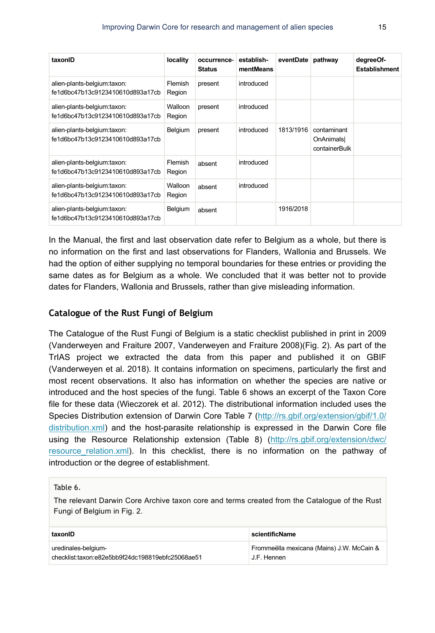| taxonID                                                         | locality          | occurrence-<br><b>Status</b> | establish-<br>mentMeans | eventDate pathway |                                           | degreeOf-<br><b>Establishment</b> |
|-----------------------------------------------------------------|-------------------|------------------------------|-------------------------|-------------------|-------------------------------------------|-----------------------------------|
| alien-plants-belgium:taxon:<br>fe1d6bc47b13c9123410610d893a17cb | Flemish<br>Region | present                      | introduced              |                   |                                           |                                   |
| alien-plants-belgium:taxon:<br>fe1d6bc47b13c9123410610d893a17cb | Walloon<br>Region | present                      | introduced              |                   |                                           |                                   |
| alien-plants-belgium:taxon:<br>fe1d6bc47b13c9123410610d893a17cb | Belgium           | present                      | introduced              | 1813/1916         | contaminant<br>OnAnimals<br>containerBulk |                                   |
| alien-plants-belgium:taxon:<br>fe1d6bc47b13c9123410610d893a17cb | Flemish<br>Region | absent                       | introduced              |                   |                                           |                                   |
| alien-plants-belgium:taxon:<br>fe1d6bc47b13c9123410610d893a17cb | Walloon<br>Region | absent                       | introduced              |                   |                                           |                                   |
| alien-plants-belgium:taxon:<br>fe1d6bc47b13c9123410610d893a17cb | Belgium           | absent                       |                         | 1916/2018         |                                           |                                   |

In the Manual, the first and last observation date refer to Belgium as a whole, but there is no information on the first and last observations for Flanders, Wallonia and Brussels. We had the option of either supplying no temporal boundaries for these entries or providing the same dates as for Belgium as a whole. We concluded that it was better not to provide dates for Flanders, Wallonia and Brussels, rather than give misleading information.

## **Catalogue of the Rust Fungi of Belgium**

The Catalogue of the Rust Fungi of Belgium is a static checklist published in print in 2009 (Vanderweyen and Fraiture 2007, Vanderweyen and Fraiture 2008)(Fig. 2). As part of the TrIAS project we extracted the data from this paper and published it on GBIF (Vanderweyen et al. 2018). It contains information on specimens, particularly the first and most recent observations. It also has information on whether the species are native or introduced and the host species of the fungi. Table 6 shows an excerpt of the Taxon Core file for these data (Wieczorek et al. 2012). The distributional information included uses the Species Distribution extension of Darwin Core Table 7 [\(http://rs.gbif.org/extension/gbif/1.0/](http://rs.gbif.org/extension/gbif/1.0/distribution.xml) [distribution.xml](http://rs.gbif.org/extension/gbif/1.0/distribution.xml)) and the host-parasite relationship is expressed in the Darwin Core file using the Resource Relationship extension (Table 8) ([http://rs.gbif.org/extension/dwc/](http://rs.gbif.org/extension/dwc/resource_relation.xml) resource relation.xml). In this checklist, there is no information on the pathway of introduction or the degree of establishment.

#### Table 6.

The relevant Darwin Core Archive taxon core and terms created from the Catalogue of the Rust Fungi of Belgium in Fig. 2.

| taxonID                                          | <b>scientificName</b>                     |
|--------------------------------------------------|-------------------------------------------|
| uredinales-belgium-                              | Frommeëlla mexicana (Mains) J.W. McCain & |
| checklist:taxon:e82e5bb9f24dc198819ebfc25068ae51 | J.F. Hennen                               |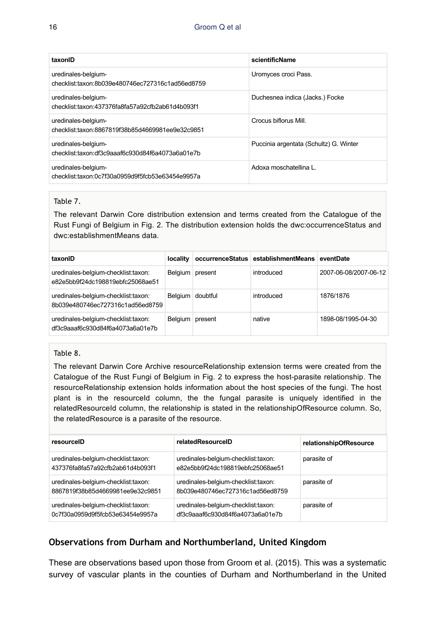| taxonID                                                                 | scientificName                         |
|-------------------------------------------------------------------------|----------------------------------------|
| uredinales-belgium-<br>checklist:taxon:8b039e480746ec727316c1ad56ed8759 | Uromyces croci Pass.                   |
| uredinales-belgium-<br>checklist:taxon:437376fa8fa57a92cfb2ab61d4b093f1 | Duchesnea indica (Jacks.) Focke        |
| uredinales-belgium-<br>checklist:taxon:8867819f38b85d4669981ee9e32c9851 | Crocus biflorus Mill.                  |
| uredinales-belgium-<br>checklist:taxon:df3c9aaaf6c930d84f6a4073a6a01e7b | Puccinia argentata (Schultz) G. Winter |
| uredinales-belgium-<br>checklist:taxon:0c7f30a0959d9f5fcb53e63454e9957a | Adoxa moschatellina L.                 |

#### Table 7.

The relevant Darwin Core distribution extension and terms created from the Catalogue of the Rust Fungi of Belgium in Fig. 2. The distribution extension holds the dwc:occurrenceStatus and dwc:establishmentMeans data.

| taxonID                                                                 |                    |         | locality occurrenceStatus establishmentMeans eventDate |                       |
|-------------------------------------------------------------------------|--------------------|---------|--------------------------------------------------------|-----------------------|
| uredinales-belgium-checklist:taxon:<br>e82e5bb9f24dc198819ebfc25068ae51 | Belgium present    |         | introduced                                             | 2007-06-08/2007-06-12 |
| uredinales-belgium-checklist:taxon:<br>8b039e480746ec727316c1ad56ed8759 | Belgium   doubtful |         | introduced                                             | 1876/1876             |
| uredinales-belgium-checklist:taxon:<br>df3c9aaaf6c930d84f6a4073a6a01e7b | Belgium            | present | native                                                 | 1898-08/1995-04-30    |

#### Table 8.

The relevant Darwin Core Archive resourceRelationship extension terms were created from the Catalogue of the Rust Fungi of Belgium in Fig. 2 to express the host-parasite relationship. The resourceRelationship extension holds information about the host species of the fungi. The host plant is in the resourceId column, the the fungal parasite is uniquely identified in the relatedResourceId column, the relationship is stated in the relationshipOfResource column. So, the relatedResource is a parasite of the resource.

| resourceID                                                              | relatedResourceID                                                       | relationshipOfResource |
|-------------------------------------------------------------------------|-------------------------------------------------------------------------|------------------------|
| uredinales-belgium-checklist:taxon:<br>437376fa8fa57a92cfb2ab61d4b093f1 | uredinales-belgium-checklist:taxon:<br>e82e5bb9f24dc198819ebfc25068ae51 | parasite of            |
| uredinales-belgium-checklist:taxon:<br>8867819f38b85d4669981ee9e32c9851 | uredinales-belgium-checklist:taxon:<br>8b039e480746ec727316c1ad56ed8759 | parasite of            |
| uredinales-belgium-checklist:taxon:<br>0c7f30a0959d9f5fcb53e63454e9957a | uredinales-belgium-checklist:taxon:<br>df3c9aaaf6c930d84f6a4073a6a01e7b | parasite of            |

# **Observations from Durham and Northumberland, United Kingdom**

These are observations based upon those from Groom et al. (2015). This was a systematic survey of vascular plants in the counties of Durham and Northumberland in the United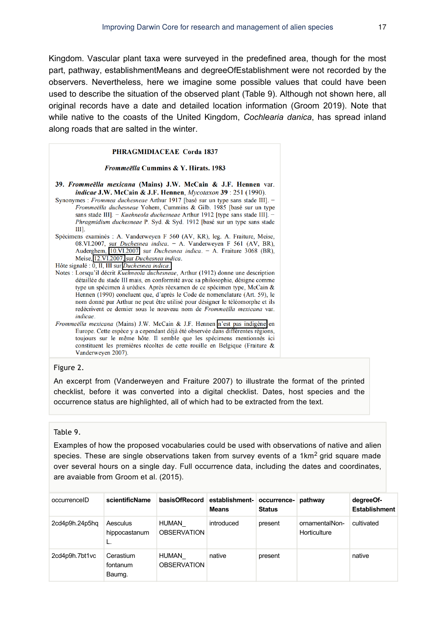Kingdom. Vascular plant taxa were surveyed in the predefined area, though for the most part, pathway, establishmentMeans and degreeOfEstablishment were not recorded by the observers. Nevertheless, here we imagine some possible values that could have been used to describe the situation of the observed plant (Table 9). Although not shown here, all original records have a date and detailed location information (Groom 2019). Note that while native to the coasts of the United Kingdom, *Cochlearia danica*, has spread inland along roads that are salted in the winter.

#### PHRAGMIDIACEAE Corda 1837

#### Frommeëlla Cummins & Y. Hirats. 1983

39. Frommeëlla mexicana (Mains) J.W. McCain & J.F. Hennen var. *indicae* J.W. McCain & J.F. Hennen,  $Mycotaxon$  39 : 251 (1990).

Synonymes : Frommea duchesneae Arthur 1917 [basé sur un type sans stade III]. Frommeëlla duchesneae Yohem, Cummins & Gilb. 1985 [basé sur un type sans stade III]. - Kuehneola duchesneae Arthur 1912 [type sans stade III]. -Phragmidium duchesneae P. Syd. & Syd. 1912 [basé sur un type sans stade Ш].

Spécimens examinés : A. Vanderweyen F 560 (AV, KR), leg. A. Fraiture, Meise, 08.VI.2007, sur *Duchesnea indica*. - A. Vanderweyen F 561 (AV, BR), Auderghem, 10.VI.2007 sur Duchesnea indica. - A. Fraiture 3068 (BR), Meise, 12.VI.2007, sur Duchesnea indica.

Hôte signalé : 0, II, III sur Duchesnea indica.

- Notes : Lorsqu'il décrit Kuehneola duchesneae, Arthur (1912) donne une description détaillée du stade III mais, en conformité avec sa philosophie, désigne comme type un spécimen à urédies. Après réexamen de ce spécimen type, McCain & Hennen (1990) concluent que, d'après le Code de nomenclature (Art. 59), le nom donné par Arthur ne peut être utilisé pour désigner le téléomorphe et ils redécrivent ce dernier sous le nouveau nom de Frommeëlla mexicana var. *indicae*.
- Frommeëlla mexicana (Mains) J.W. McCain & J.F. Hennen n'est pas indigène en Europe. Cette espèce y a cependant déjà été observée dans différentes régions, toujours sur le même hôte. Il semble que les spécimens mentionnés ici constituent les premières récoltes de cette rouille en Belgique (Fraiture & Vanderweyen 2007).

#### Figure 2.

An excerpt from (Vanderweyen and Fraiture 2007) to illustrate the format of the printed checklist, before it was converted into a digital checklist. Dates, host species and the occurrence status are highlighted, all of which had to be extracted from the text.

#### Table 9.

Examples of how the proposed vocabularies could be used with observations of native and alien species. These are single observations taken from survey events of a 1km<sup>2</sup> grid square made over several hours on a single day. Full occurrence data, including the dates and coordinates, are avaiable from Groom et al. (2015).

| occurrenceID   | scientificName                  |                                    | basisOfRecord establishment- occurrence-<br><b>Means</b> | <b>Status</b> | pathway                        | degreeOf-<br><b>Establishment</b> |
|----------------|---------------------------------|------------------------------------|----------------------------------------------------------|---------------|--------------------------------|-----------------------------------|
| 2cd4p9h.24p5hq | Aesculus<br>hippocastanum<br>L. | HUMAN<br><b>OBSERVATION</b>        | introduced                                               | present       | ornamentalNon-<br>Horticulture | cultivated                        |
| 2cd4p9h.7bt1vc | Cerastium<br>fontanum<br>Baumg. | <b>HUMAN</b><br><b>OBSERVATION</b> | native                                                   | present       |                                | native                            |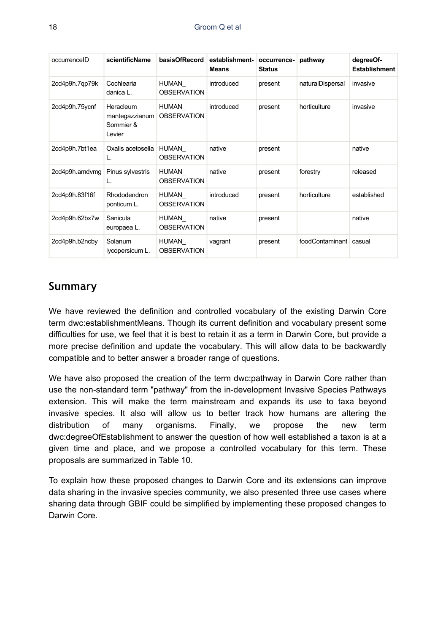| occurrenceID   | scientificName                                     | basisOfRecord               | establishment-<br><b>Means</b> | occurrence-<br><b>Status</b> | pathway                  | degreeOf-<br><b>Establishment</b> |
|----------------|----------------------------------------------------|-----------------------------|--------------------------------|------------------------------|--------------------------|-----------------------------------|
| 2cd4p9h.7qp79k | Cochlearia<br>danica L.                            | HUMAN<br><b>OBSERVATION</b> | introduced                     | present                      | naturalDispersal         | invasive                          |
| 2cd4p9h.75ycnf | Heracleum<br>mantegazzianum<br>Sommier &<br>Levier | HUMAN<br><b>OBSERVATION</b> | introduced                     | present                      | horticulture             | invasive                          |
| 2cd4p9h.7bt1ea | Oxalis acetosella                                  | HUMAN<br><b>OBSERVATION</b> | native                         | present                      |                          | native                            |
| 2cd4p9h.amdvmg | Pinus sylvestris                                   | HUMAN<br><b>OBSERVATION</b> | native                         | present                      | forestry                 | released                          |
| 2cd4p9h.83f16f | Rhododendron<br>ponticum L.                        | HUMAN<br><b>OBSERVATION</b> | introduced                     | present                      | horticulture             | established                       |
| 2cd4p9h.62bx7w | Sanicula<br>europaea L.                            | HUMAN<br><b>OBSERVATION</b> | native                         | present                      |                          | native                            |
| 2cd4p9h.b2ncby | Solanum<br>Iycopersicum L.                         | HUMAN<br><b>OBSERVATION</b> | vagrant                        | present                      | foodContaminant   casual |                                   |

# **Summary**

We have reviewed the definition and controlled vocabulary of the existing Darwin Core term dwc:establishmentMeans. Though its current definition and vocabulary present some difficulties for use, we feel that it is best to retain it as a term in Darwin Core, but provide a more precise definition and update the vocabulary. This will allow data to be backwardly compatible and to better answer a broader range of questions.

We have also proposed the creation of the term dwc:pathway in Darwin Core rather than use the non-standard term "pathway" from the in-development Invasive Species Pathways extension. This will make the term mainstream and expands its use to taxa beyond invasive species. It also will allow us to better track how humans are altering the distribution of many organisms. Finally, we propose the new term dwc:degreeOfEstablishment to answer the question of how well established a taxon is at a given time and place, and we propose a controlled vocabulary for this term. These proposals are summarized in Table 10.

To explain how these proposed changes to Darwin Core and its extensions can improve data sharing in the invasive species community, we also presented three use cases where sharing data through GBIF could be simplified by implementing these proposed changes to Darwin Core.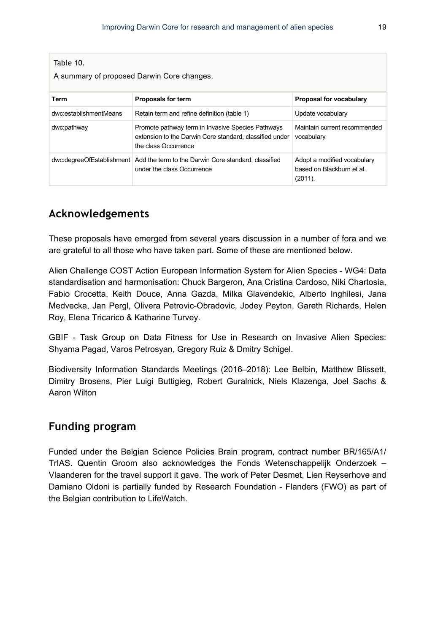| Table 10.<br>A summary of proposed Darwin Core changes. |                                                                                                                                      |                                                                     |
|---------------------------------------------------------|--------------------------------------------------------------------------------------------------------------------------------------|---------------------------------------------------------------------|
| Term                                                    | <b>Proposals for term</b>                                                                                                            | Proposal for vocabulary                                             |
| dwc:establishmentMeans                                  | Retain term and refine definition (table 1)                                                                                          | Update vocabulary                                                   |
| dwc:pathway                                             | Promote pathway term in Invasive Species Pathways<br>extension to the Darwin Core standard, classified under<br>the class Occurrence | Maintain current recommended<br>vocabulary                          |
|                                                         | dwc:degreeOfEstablishment Add the term to the Darwin Core standard, classified<br>under the class Occurrence                         | Adopt a modified vocabulary<br>based on Blackburn et al.<br>(2011). |

# **Acknowledgements**

These proposals have emerged from several years discussion in a number of fora and we are grateful to all those who have taken part. Some of these are mentioned below.

Alien Challenge COST Action European Information System for Alien Species - WG4: Data standardisation and harmonisation: Chuck Bargeron, Ana Cristina Cardoso, Niki Chartosia, Fabio Crocetta, Keith Douce, Anna Gazda, Milka Glavendekic, Alberto Inghilesi, Jana Medvecka, Jan Pergl, Olivera Petrovic-Obradovic, Jodey Peyton, Gareth Richards, Helen Roy, Elena Tricarico & Katharine Turvey.

GBIF - Task Group on Data Fitness for Use in Research on Invasive Alien Species: Shyama Pagad, Varos Petrosyan, Gregory Ruiz & Dmitry Schigel.

Biodiversity Information Standards Meetings (2016–2018): Lee Belbin, Matthew Blissett, Dimitry Brosens, Pier Luigi Buttigieg, Robert Guralnick, Niels Klazenga, Joel Sachs & Aaron Wilton

# **Funding program**

Funded under the Belgian Science Policies Brain program, contract number BR/165/A1/ TrIAS. Quentin Groom also acknowledges the Fonds Wetenschappelijk Onderzoek – Vlaanderen for the travel support it gave. The work of Peter Desmet, Lien Reyserhove and Damiano Oldoni is partially funded by Research Foundation - Flanders (FWO) as part of the Belgian contribution to LifeWatch.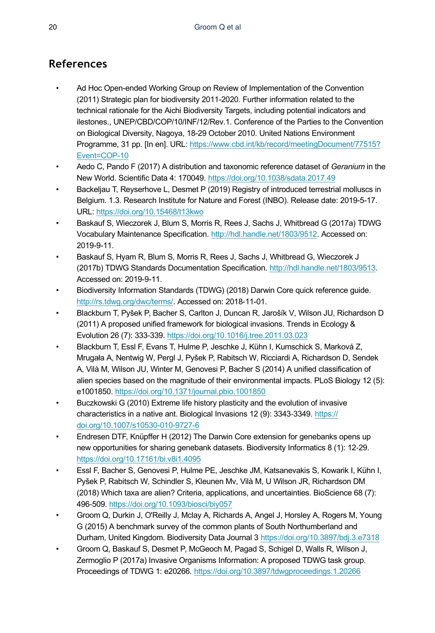# **References**

- Ad Hoc Open-ended Working Group on Review of Implementation of the Convention (2011) Strategic plan for biodiversity 2011-2020. Further information related to the technical rationale for the Aichi Biodiversity Targets, including potential indicators and ilestones., UNEP/CBD/COP/10/INF/12/Rev.1. Conference of the Parties to the Convention on Biological Diversity, Nagoya, 18-29 October 2010. United Nations Environment Programme, 31 pp. [In en]. URL: [https://www.cbd.int/kb/record/meetingDocument/77515?](https://www.cbd.int/kb/record/meetingDocument/77515?Event=COP-10) [Event=COP-10](https://www.cbd.int/kb/record/meetingDocument/77515?Event=COP-10)
- Aedo C, Pando F (2017) A distribution and taxonomic reference dataset of *Geranium* in the New World. Scientific Data 4: 170049. <https://doi.org/10.1038/sdata.2017.49>
- Backeljau T, Reyserhove L, Desmet P (2019) Registry of introduced terrestrial molluscs in Belgium. 1.3. Research Institute for Nature and Forest (INBO). Release date: 2019-5-17. URL: <https://doi.org/10.15468/t13kwo>
- Baskauf S, Wieczorek J, Blum S, Morris R, Rees J, Sachs J, Whitbread G (2017a) TDWG Vocabulary Maintenance Specification. [http://hdl.handle.net/1803/9512.](http://hdl.handle.net/1803/9512) Accessed on: 2019-9-11.
- Baskauf S, Hyam R, Blum S, Morris R, Rees J, Sachs J, Whitbread G, Wieczorek J (2017b) TDWG Standards Documentation Specification. <http://hdl.handle.net/1803/9513>. Accessed on: 2019-9-11.
- Biodiversity Information Standards (TDWG) (2018) Darwin Core quick reference guide. <http://rs.tdwg.org/dwc/terms/>. Accessed on: 2018-11-01.
- Blackburn T, Pyšek P, Bacher S, Carlton J, Duncan R, Jarošík V, Wilson JU, Richardson D (2011) A proposed unified framework for biological invasions. Trends in Ecology & Evolution 26 (7): 333‑339. <https://doi.org/10.1016/j.tree.2011.03.023>
- Blackburn T, Essl F, Evans T, Hulme P, Jeschke J, Kühn I, Kumschick S, Marková Z, Mrugała A, Nentwig W, Pergl J, Pyšek P, Rabitsch W, Ricciardi A, Richardson D, Sendek A, Vilà M, Wilson JU, Winter M, Genovesi P, Bacher S (2014) A unified classification of alien species based on the magnitude of their environmental impacts. PLoS Biology 12 (5): e1001850. <https://doi.org/10.1371/journal.pbio.1001850>
- Buczkowski G (2010) Extreme life history plasticity and the evolution of invasive characteristics in a native ant. Biological Invasions 12 (9): 3343‑3349. [https://](https://doi.org/10.1007/s10530-010-9727-6) [doi.org/10.1007/s10530-010-9727-6](https://doi.org/10.1007/s10530-010-9727-6)
- Endresen DTF, Knüpffer H (2012) The Darwin Core extension for genebanks opens up new opportunities for sharing genebank datasets. Biodiversity Informatics 8 (1): 12‑29. <https://doi.org/10.17161/bi.v8i1.4095>
- Essl F, Bacher S, Genovesi P, Hulme PE, Jeschke JM, Katsanevakis S, Kowarik I, Kühn I, Pyšek P, Rabitsch W, Schindler S, Kleunen Mv, Vilà M, U Wilson JR, Richardson DM (2018) Which taxa are alien? Criteria, applications, and uncertainties. BioScience 68 (7): 496‑509.<https://doi.org/10.1093/biosci/biy057>
- Groom Q, Durkin J, O'Reilly J, Mclay A, Richards A, Angel J, Horsley A, Rogers M, Young G (2015) A benchmark survey of the common plants of South Northumberland and Durham, United Kingdom. Biodiversity Data Journal 3<https://doi.org/10.3897/bdj.3.e7318>
- Groom Q, Baskauf S, Desmet P, McGeoch M, Pagad S, Schigel D, Walls R, Wilson J, Zermoglio P (2017a) Invasive Organisms Information: A proposed TDWG task group. Proceedings of TDWG 1: e20266. <https://doi.org/10.3897/tdwgproceedings.1.20266>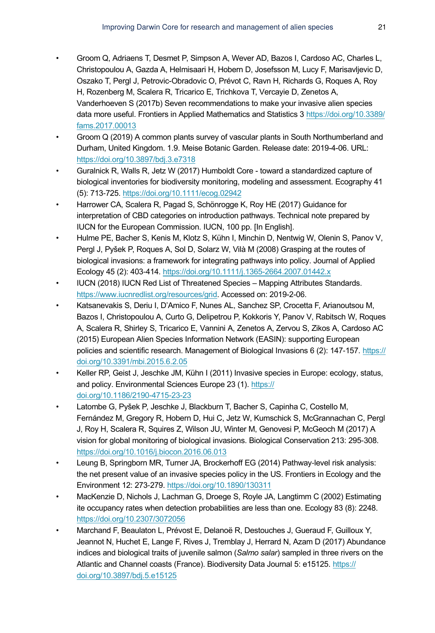- Groom Q, Adriaens T, Desmet P, Simpson A, Wever AD, Bazos I, Cardoso AC, Charles L, Christopoulou A, Gazda A, Helmisaari H, Hobern D, Josefsson M, Lucy F, Marisavljevic D, Oszako T, Pergl J, Petrovic-Obradovic O, Prévot C, Ravn H, Richards G, Roques A, Roy H, Rozenberg M, Scalera R, Tricarico E, Trichkova T, Vercayie D, Zenetos A, Vanderhoeven S (2017b) Seven recommendations to make your invasive alien species data more useful. Frontiers in Applied Mathematics and Statistics 3 [https://doi.org/10.3389/](https://doi.org/10.3389/fams.2017.00013) [fams.2017.00013](https://doi.org/10.3389/fams.2017.00013)
- Groom Q (2019) A common plants survey of vascular plants in South Northumberland and Durham, United Kingdom. 1.9. Meise Botanic Garden. Release date: 2019-4-06. URL: <https://doi.org/10.3897/bdj.3.e7318>
- Guralnick R, Walls R, Jetz W (2017) Humboldt Core toward a standardized capture of biological inventories for biodiversity monitoring, modeling and assessment. Ecography 41 (5): 713‑725.<https://doi.org/10.1111/ecog.02942>
- Harrower CA, Scalera R, Pagad S, Schönrogge K, Roy HE (2017) Guidance for interpretation of CBD categories on introduction pathways. Technical note prepared by IUCN for the European Commission. IUCN, 100 pp. [In English].
- Hulme PE, Bacher S, Kenis M, Klotz S, Kühn I, Minchin D, Nentwig W, Olenin S, Panov V, Pergl J, Pyšek P, Roques A, Sol D, Solarz W, Vilà M (2008) Grasping at the routes of biological invasions: a framework for integrating pathways into policy. Journal of Applied Ecology 45 (2): 403‑414.<https://doi.org/10.1111/j.1365-2664.2007.01442.x>
- IUCN (2018) IUCN Red List of Threatened Species Mapping Attributes Standards. <https://www.iucnredlist.org/resources/grid>. Accessed on: 2019-2-06.
- Katsanevakis S, Deriu I, D'Amico F, Nunes AL, Sanchez SP, Crocetta F, Arianoutsou M, Bazos I, Christopoulou A, Curto G, Delipetrou P, Kokkoris Y, Panov V, Rabitsch W, Roques A, Scalera R, Shirley S, Tricarico E, Vannini A, Zenetos A, Zervou S, Zikos A, Cardoso AC (2015) European Alien Species Information Network (EASIN): supporting European policies and scientific research. Management of Biological Invasions 6 (2): 147‑157. [https://](https://doi.org/10.3391/mbi.2015.6.2.05) [doi.org/10.3391/mbi.2015.6.2.05](https://doi.org/10.3391/mbi.2015.6.2.05)
- Keller RP, Geist J, Jeschke JM, Kühn I (2011) Invasive species in Europe: ecology, status, and policy. Environmental Sciences Europe 23 (1). [https://](https://doi.org/10.1186/2190-4715-23-23) [doi.org/10.1186/2190-4715-23-23](https://doi.org/10.1186/2190-4715-23-23)
- Latombe G, Pyšek P, Jeschke J, Blackburn T, Bacher S, Capinha C, Costello M, Fernández M, Gregory R, Hobern D, Hui C, Jetz W, Kumschick S, McGrannachan C, Pergl J, Roy H, Scalera R, Squires Z, Wilson JU, Winter M, Genovesi P, McGeoch M (2017) A vision for global monitoring of biological invasions. Biological Conservation 213: 295‑308. <https://doi.org/10.1016/j.biocon.2016.06.013>
- Leung B, Springborn MR, Turner JA, Brockerhoff EG (2014) Pathway‐level risk analysis: the net present value of an invasive species policy in the US. Frontiers in Ecology and the Environment 12: 273‑279. <https://doi.org/10.1890/130311>
- MacKenzie D, Nichols J, Lachman G, Droege S, Royle JA, Langtimm C (2002) Estimating ite occupancy rates when detection probabilities are less than one. Ecology 83 (8): 2248. <https://doi.org/10.2307/3072056>
- Marchand F, Beaulaton L, Prévost E, Delanoë R, Destouches J, Gueraud F, Guilloux Y, Jeannot N, Huchet E, Lange F, Rives J, Tremblay J, Herrard N, Azam D (2017) Abundance indices and biological traits of juvenile salmon (*Salmo salar*) sampled in three rivers on the Atlantic and Channel coasts (France). Biodiversity Data Journal 5: e15125. [https://](https://doi.org/10.3897/bdj.5.e15125) [doi.org/10.3897/bdj.5.e15125](https://doi.org/10.3897/bdj.5.e15125)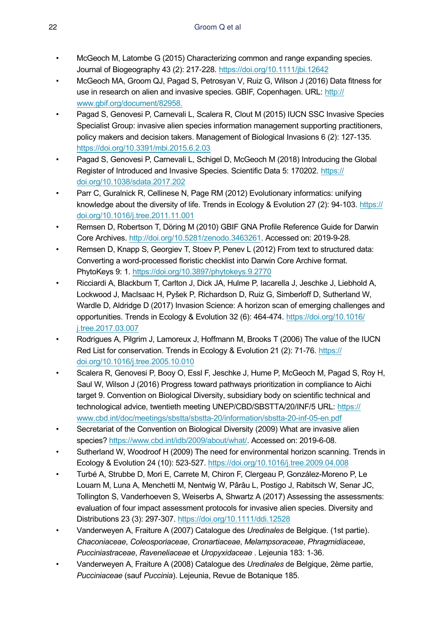- McGeoch M, Latombe G (2015) Characterizing common and range expanding species. Journal of Biogeography 43 (2): 217‑228.<https://doi.org/10.1111/jbi.12642>
- McGeoch MA, Groom QJ, Pagad S, Petrosyan V, Ruiz G, Wilson J (2016) Data fitness for use in research on alien and invasive species. GBIF, Copenhagen. URL: [http://](http://www.gbif.org/document/82958.) [www.gbif.org/document/82958.](http://www.gbif.org/document/82958.)
- Pagad S, Genovesi P, Carnevali L, Scalera R, Clout M (2015) IUCN SSC Invasive Species Specialist Group: invasive alien species information management supporting practitioners, policy makers and decision takers. Management of Biological Invasions 6 (2): 127‑135. <https://doi.org/10.3391/mbi.2015.6.2.03>
- Pagad S, Genovesi P, Carnevali L, Schigel D, McGeoch M (2018) Introducing the Global Register of Introduced and Invasive Species. Scientific Data 5: 170202. [https://](https://doi.org/10.1038/sdata.2017.202) [doi.org/10.1038/sdata.2017.202](https://doi.org/10.1038/sdata.2017.202)
- Parr C, Guralnick R, Cellinese N, Page RM (2012) Evolutionary informatics: unifying knowledge about the diversity of life. Trends in Ecology & Evolution 27 (2): 94-103. [https://](https://doi.org/10.1016/j.tree.2011.11.001) [doi.org/10.1016/j.tree.2011.11.001](https://doi.org/10.1016/j.tree.2011.11.001)
- Remsen D, Robertson T, Döring M (2010) GBIF GNA Profile Reference Guide for Darwin Core Archives. [http://doi.org/10.5281/zenodo.3463261.](http://doi.org/10.5281/zenodo.3463261) Accessed on: 2019-9-28.
- Remsen D, Knapp S, Georgiev T, Stoev P, Penev L (2012) From text to structured data: Converting a word-processed floristic checklist into Darwin Core Archive format. PhytoKeys 9: 1. <https://doi.org/10.3897/phytokeys.9.2770>
- Ricciardi A, Blackburn T, Carlton J, Dick JA, Hulme P, Iacarella J, Jeschke J, Liebhold A, Lockwood J, MacIsaac H, Pyšek P, Richardson D, Ruiz G, Simberloff D, Sutherland W, Wardle D, Aldridge D (2017) Invasion Science: A horizon scan of emerging challenges and opportunities. Trends in Ecology & Evolution 32 (6): 464‑474. [https://doi.org/10.1016/](https://doi.org/10.1016/j.tree.2017.03.007) [j.tree.2017.03.007](https://doi.org/10.1016/j.tree.2017.03.007)
- Rodrigues A, Pilgrim J, Lamoreux J, Hoffmann M, Brooks T (2006) The value of the IUCN Red List for conservation. Trends in Ecology & Evolution 21 (2): 71-76. [https://](https://doi.org/10.1016/j.tree.2005.10.010) [doi.org/10.1016/j.tree.2005.10.010](https://doi.org/10.1016/j.tree.2005.10.010)
- Scalera R, Genovesi P, Booy O, Essl F, Jeschke J, Hume P, McGeoch M, Pagad S, Roy H, Saul W, Wilson J (2016) Progress toward pathways prioritization in compliance to Aichi target 9. Convention on Biological Diversity, subsidiary body on scientific technical and technological advice, twentieth meeting UNEP/CBD/SBSTTA/20/INF/5 URL: [https://](https://www.cbd.int/doc/meetings/sbstta/sbstta-20/information/sbstta-20-inf-05-en.pdf) [www.cbd.int/doc/meetings/sbstta/sbstta-20/information/sbstta-20-inf-05-en.pdf](https://www.cbd.int/doc/meetings/sbstta/sbstta-20/information/sbstta-20-inf-05-en.pdf)
- Secretariat of the Convention on Biological Diversity (2009) What are invasive alien species?<https://www.cbd.int/idb/2009/about/what/>. Accessed on: 2019-6-08.
- Sutherland W, Woodroof H (2009) The need for environmental horizon scanning. Trends in Ecology & Evolution 24 (10): 523‑527. <https://doi.org/10.1016/j.tree.2009.04.008>
- Turbé A, Strubbe D, Mori E, Carrete M, Chiron F, Clergeau P, González-Moreno P, Le Louarn M, Luna A, Menchetti M, Nentwig W, Pârâu L, Postigo J, Rabitsch W, Senar JC, Tollington S, Vanderhoeven S, Weiserbs A, Shwartz A (2017) Assessing the assessments: evaluation of four impact assessment protocols for invasive alien species. Diversity and Distributions 23 (3): 297‑307.<https://doi.org/10.1111/ddi.12528>
- Vanderweyen A, Fraiture A (2007) Catalogue des *Uredinales* de Belgique. (1st partie). *Chaconiaceae*, *Coleosporiaceae*, *Cronartiaceae*, *Melampsoraceae*, *Phragmidiaceae*, *Pucciniastraceae*, *Raveneliaceae* et *Uropyxidaceae* . Lejeunia 183: 1‑36.
- Vanderweyen A, Fraiture A (2008) Catalogue des *Uredinales* de Belgique, 2ème partie, *Pucciniaceae* (sauf *Puccinia*). Lejeunia, Revue de Botanique 185.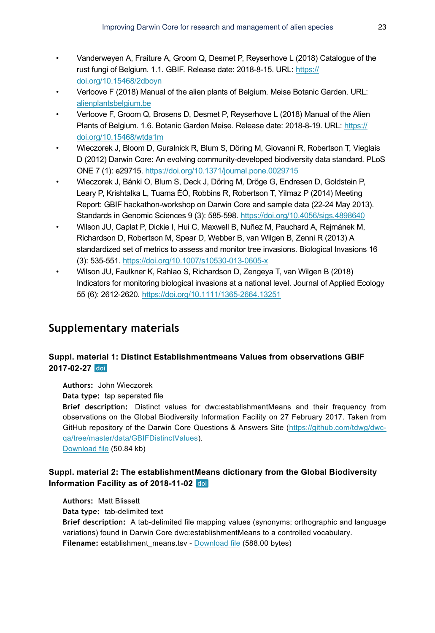- Vanderweyen A, Fraiture A, Groom Q, Desmet P, Reyserhove L (2018) Catalogue of the rust fungi of Belgium. 1.1. GBIF. Release date: 2018-8-15. URL: [https://](https://doi.org/10.15468/2dboyn) [doi.org/10.15468/2dboyn](https://doi.org/10.15468/2dboyn)
- Verloove F (2018) Manual of the alien plants of Belgium. Meise Botanic Garden. URL: [alienplantsbelgium.be](http://alienplantsbelgium.be)
- Verloove F, Groom Q, Brosens D, Desmet P, Reyserhove L (2018) Manual of the Alien Plants of Belgium. 1.6. Botanic Garden Meise. Release date: 2018-8-19. URL: [https://](https://doi.org/10.15468/wtda1m) [doi.org/10.15468/wtda1m](https://doi.org/10.15468/wtda1m)
- Wieczorek J, Bloom D, Guralnick R, Blum S, Döring M, Giovanni R, Robertson T, Vieglais D (2012) Darwin Core: An evolving community-developed biodiversity data standard. PLoS ONE 7 (1): e29715.<https://doi.org/10.1371/journal.pone.0029715>
- Wieczorek J, Bánki O, Blum S, Deck J, Döring M, Dröge G, Endresen D, Goldstein P, Leary P, Krishtalka L, Tuama ÉÓ, Robbins R, Robertson T, Yilmaz P (2014) Meeting Report: GBIF hackathon-workshop on Darwin Core and sample data (22-24 May 2013). Standards in Genomic Sciences 9 (3): 585‑598. <https://doi.org/10.4056/sigs.4898640>
- Wilson JU, Caplat P, Dickie I, Hui C, Maxwell B, Nuñez M, Pauchard A, Rejmánek M, Richardson D, Robertson M, Spear D, Webber B, van Wilgen B, Zenni R (2013) A standardized set of metrics to assess and monitor tree invasions. Biological Invasions 16 (3): 535‑551.<https://doi.org/10.1007/s10530-013-0605-x>
- Wilson JU, Faulkner K, Rahlao S, Richardson D, Zengeya T, van Wilgen B (2018) Indicators for monitoring biological invasions at a national level. Journal of Applied Ecology 55 (6): 2612‑2620. <https://doi.org/10.1111/1365-2664.13251>

# **Supplementary materials**

# **Suppl. material 1: Distinct Establishmentmeans Values from observations GBIF 2017-02-27**

**Authors:** John Wieczorek

**Data type:** tap seperated file

**Brief description:** Distinct values for dwc:establishmentMeans and their frequency from observations on the Global Biodiversity Information Facility on 27 February 2017. Taken from GitHub repository of the Darwin Core Questions & Answers Site ([https://github.com/tdwg/dwc](https://github.com/tdwg/dwc-qa/tree/master/data/GBIFDistinctValues)[qa/tree/master/data/GBIFDistinctValues\)](https://github.com/tdwg/dwc-qa/tree/master/data/GBIFDistinctValues).

[Download file](https://arpha.pensoft.net/getfile.php?filename=oo_338533.csv) (50.84 kb)

## **Suppl. material 2: The establishmentMeans dictionary from the Global Biodiversity Information Facility as of 2018-11-02**

**Authors:** Matt Blissett

**Data type:** tab-delimited text

**Brief description:** A tab-delimited file mapping values (synonyms; orthographic and language variations) found in Darwin Core dwc:establishmentMeans to a controlled vocabulary. Filename: establishment\_means.tsv - [Download file](https://arpha.pensoft.net/getfile.php?filename=oo_240196.tsv) (588.00 bytes)